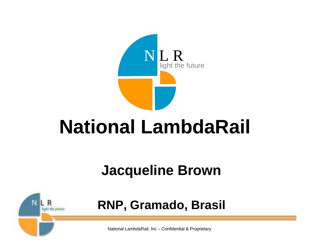

### **National LambdaRail**

#### **Jacqueline Brown**



**RNP, Gramado, Brasil**

National LambdaRail, Inc – Confidential & Proprietary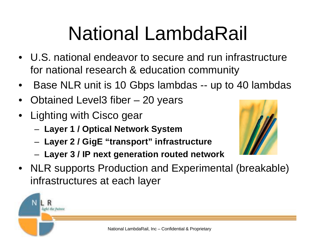## National LambdaRail

- U.S. national endeavor to secure and run infrastructure for national research & education community
- Base NLR unit is 10 Gbps lambdas -- up to 40 lambdas
- Obtained Level3 fiber 20 years
- Lighting with Cisco gear
	- **Layer 1 / Optical Network System**
	- **Layer 2 / GigE "transport" infrastructure**
	- **Layer 3 / IP next generation routed network**



• NLR supports Production and Experimental (breakable) infrastructures at each layer

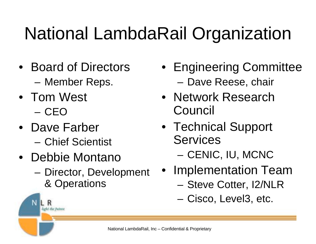### National LambdaRail Organization

- Board of Directors – Member Reps.
- Tom West – CEO

- Dave Farber – Chief Scientist
- Debbie Montano
	- Director, Development & Operations
- Engineering Committee – Dave Reese, chair
- Network Research Council
- Technical Support **Services** 
	- CENIC, IU, MCNC
- Implementation Team
	- Steve Cotter, I2/NLR
	- Cisco, Level3, etc.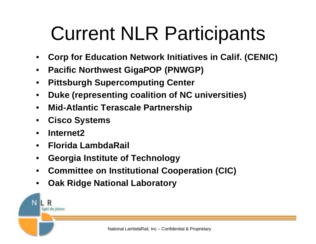## Current NLR Participants

- **Corp for Education Network Initiatives in Calif. (CENIC)**
- **Pacific Northwest GigaPOP (PNWGP)**
- **Pittsburgh Supercomputing Center**
- **Duke (representing coalition of NC universities)**
- **Mid-Atlantic Terascale Partnership**
- **Cisco Systems**
- **Internet2**

- **Florida LambdaRail**
- **Georgia Institute of Technology**
- **Committee on Institutional Cooperation (CIC)**
- **Oak Ridge National Laboratory**

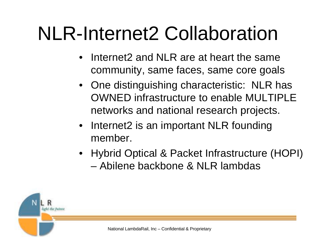## NLR-Internet2 Collaboration

- Internet2 and NLR are at heart the same community, same faces, same core goals
- One distinguishing characteristic: NLR has OWNED infrastructure to enable MULTIPLE networks and national research projects.
- Internet2 is an important NLR founding member.
- Hybrid Optical & Packet Infrastructure (HOPI) – Abilene backbone & NLR lambdas

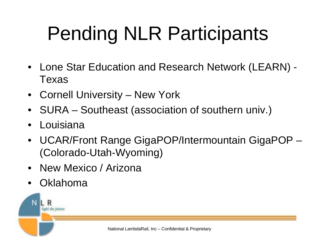# Pending NLR Participants

- Lone Star Education and Research Network (LEARN) Texas
- Cornell University New York
- SURA Southeast (association of southern univ.)
- Louisiana
- UCAR/Front Range GigaPOP/Intermountain GigaPOP (Colorado-Utah-Wyoming)
- New Mexico / Arizona
- Oklahoma

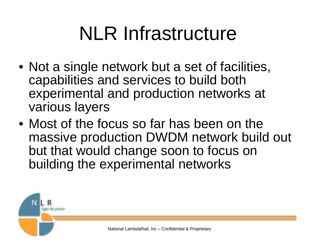## NLR Infrastructure

- Not a single network but a set of facilities, capabilities and services to build both experimental and production networks at various layers
- Most of the focus so far has been on the massive production DWDM network build out but that would change soon to focus on building the experimental networks

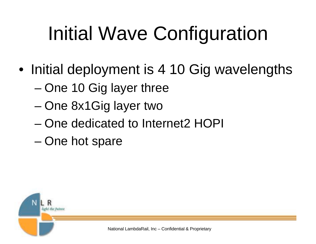## Initial Wave Configuration

- Initial deployment is 4 10 Gig wavelengths
	- One 10 Gig layer three
	- One 8x1Gig layer two
	- One dedicated to Internet2 HOPI
	- One hot spare

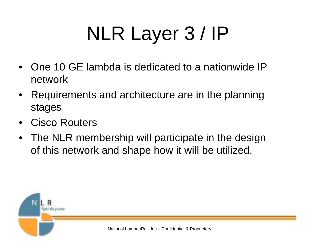# NLR Layer 3 / IP

- One 10 GE lambda is dedicated to a nationwide IP network
- Requirements and architecture are in the planning stages
- Cisco Routers
- The NLR membership will participate in the design of this network and shape how it will be utilized.

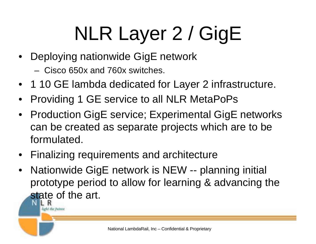# NLR Layer 2 / GigE

- Deploying nationwide GigE network
	- Cisco 650x and 760x switches.

- 1 10 GE lambda dedicated for Layer 2 infrastructure.
- Providing 1 GE service to all NLR MetaPoPs
- Production GigE service; Experimental GigE networks can be created as separate projects which are to be formulated.
- Finalizing requirements and architecture
- Nationwide GigE network is NEW -- planning initial prototype period to allow for learning & advancing the state of the art.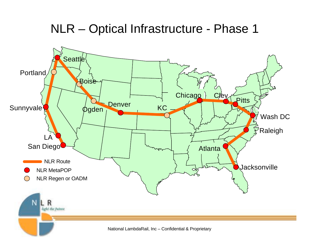#### NLR – Optical Infrastructure - Phase 1

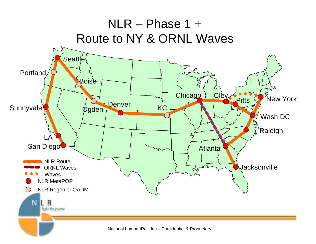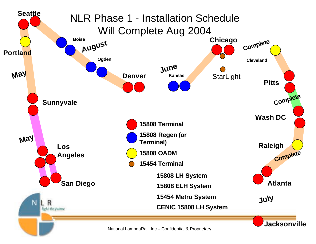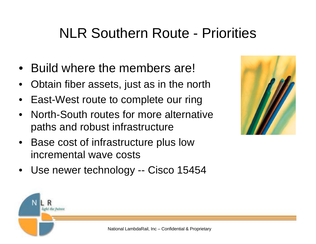#### NLR Southern Route - Priorities

- Build where the members are!
- Obtain fiber assets, just as in the north
- East-West route to complete our ring
- North-South routes for more alternative paths and robust infrastructure
- Base cost of infrastructure plus low incremental wave costs
- Use newer technology -- Cisco 15454



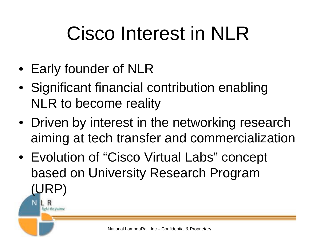## Cisco Interest in NLR

• Early founder of NLR

- Significant financial contribution enabling NLR to become reality
- Driven by interest in the networking research aiming at tech transfer and commercialization
- Evolution of "Cisco Virtual Labs" concept based on University Research Program (URP)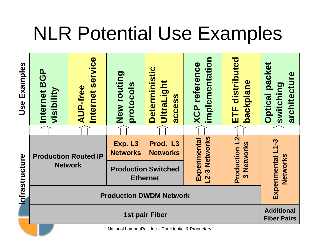### NLR Potential Use Examples

| Examples<br>Use | service<br><u>ո</u><br>$\overline{3}$<br><b>AUP-free</b><br>visibility<br>Internet<br>Internet |                                               | New routing<br>protocols                                                                                   |  | <b>Deterministic</b><br><b>UltraLight</b><br>access |                                                       | implementation<br><b>XCP</b> reference |                                                    | ETF distributed<br>backplane |                               | packet<br>switching<br><b>Optical</b> | architecture |                                         |  |  |
|-----------------|------------------------------------------------------------------------------------------------|-----------------------------------------------|------------------------------------------------------------------------------------------------------------|--|-----------------------------------------------------|-------------------------------------------------------|----------------------------------------|----------------------------------------------------|------------------------------|-------------------------------|---------------------------------------|--------------|-----------------------------------------|--|--|
|                 |                                                                                                |                                               |                                                                                                            |  |                                                     |                                                       |                                        |                                                    |                              |                               |                                       |              |                                         |  |  |
| Infrastructure  |                                                                                                | <b>Production Routed IP</b><br><b>Network</b> | Prod. L3<br>Exp. L3<br><b>Networks</b><br><b>Networks</b><br><b>Production Switched</b><br><b>Ethernet</b> |  |                                                     | Networks<br>Experimental<br>ကို<br>$\mathbf{\dot{2}}$ |                                        | Production L2<br>Networks<br>$\boldsymbol{\omega}$ |                              | Experimental L1-3<br>Networks |                                       |              |                                         |  |  |
|                 | <b>Production DWDM Network</b>                                                                 |                                               |                                                                                                            |  |                                                     |                                                       |                                        |                                                    |                              |                               |                                       |              |                                         |  |  |
|                 | <b>1st pair Fiber</b>                                                                          |                                               |                                                                                                            |  |                                                     |                                                       |                                        |                                                    |                              |                               |                                       |              | <b>Additional</b><br><b>Fiber Pairs</b> |  |  |
|                 |                                                                                                |                                               |                                                                                                            |  | Notional contractor les Confidential & Dreamiatem   |                                                       |                                        |                                                    |                              |                               |                                       |              |                                         |  |  |

National LambdaRail, Inc – Confidential & Proprietary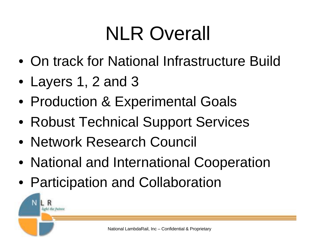## NLR Overall

- On track for National Infrastructure Build
- Layers 1, 2 and 3

light the fistus

- Production & Experimental Goals
- Robust Technical Support Services
- Network Research Council
- National and International Cooperation
- Participation and Collaboration

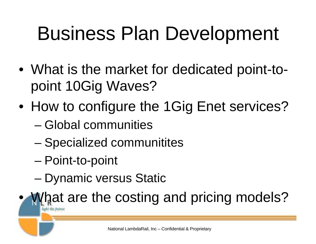## Business Plan Development

- What is the market for dedicated point-topoint 10Gig Waves?
- How to configure the 1Gig Enet services?
	- Global communities
	- Specialized communitites
	- Point-to-point
	- Dynamic versus Static

What are the costing and pricing models? lioù Libe Bels